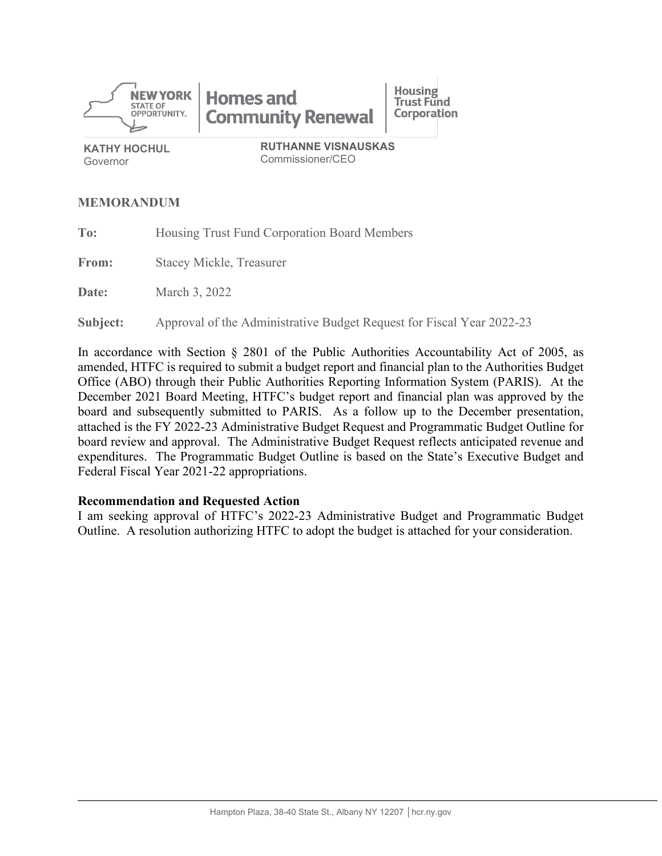

**KATHY HOCHUL** Governor

Commissioner/CEO

#### **MEMORANDUM**

**To:** Housing Trust Fund Corporation Board Members

**From:** Stacey Mickle, Treasurer

**Date:** March 3, 2022

**Subject:** Approval of the Administrative Budget Request for Fiscal Year 2022-23

In accordance with Section § 2801 of the Public Authorities Accountability Act of 2005, as amended, HTFC is required to submit a budget report and financial plan to the Authorities Budget Office (ABO) through their Public Authorities Reporting Information System (PARIS). At the December 2021 Board Meeting, HTFC's budget report and financial plan was approved by the board and subsequently submitted to PARIS. As a follow up to the December presentation, attached is the FY 2022-23 Administrative Budget Request and Programmatic Budget Outline for board review and approval. The Administrative Budget Request reflects anticipated revenue and expenditures. The Programmatic Budget Outline is based on the State's Executive Budget and Federal Fiscal Year 2021-22 appropriations.

#### **Recommendation and Requested Action**

I am seeking approval of HTFC's 2022-23 Administrative Budget and Programmatic Budget Outline. A resolution authorizing HTFC to adopt the budget is attached for your consideration.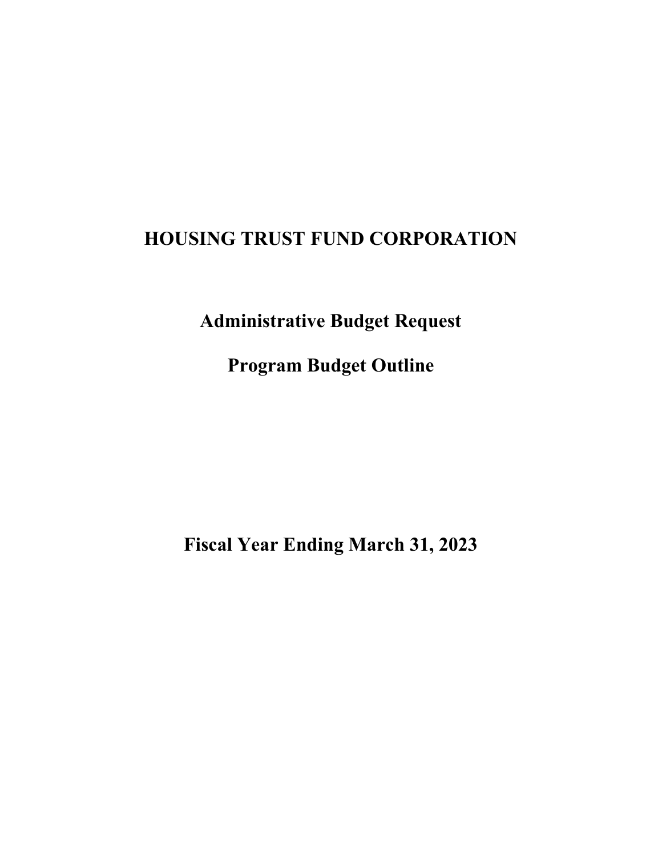**Administrative Budget Request**

**Program Budget Outline**

**Fiscal Year Ending March 31, 2023**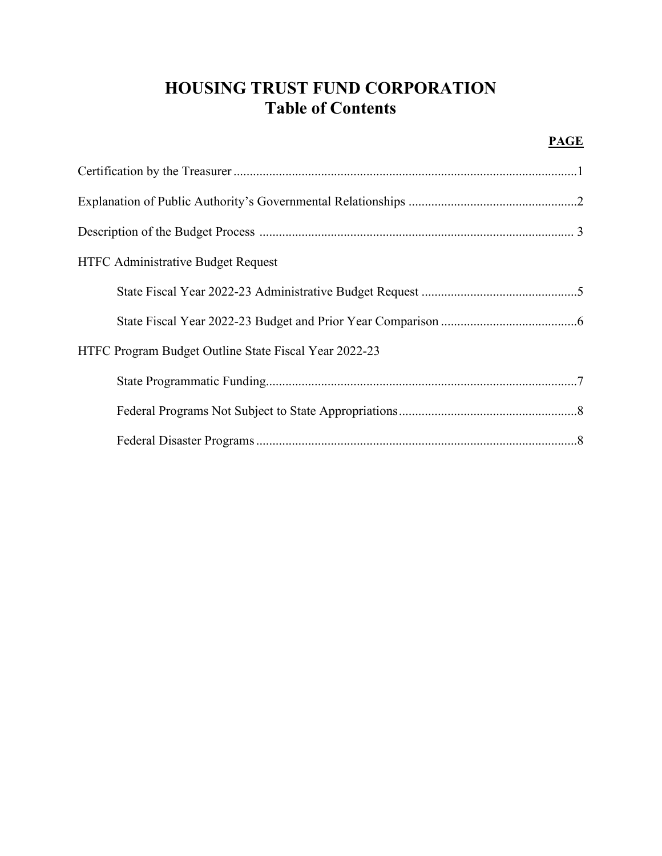# **HOUSING TRUST FUND CORPORATION Table of Contents**

#### **PAGE**

| <b>HTFC Administrative Budget Request</b>             |  |
|-------------------------------------------------------|--|
|                                                       |  |
|                                                       |  |
| HTFC Program Budget Outline State Fiscal Year 2022-23 |  |
|                                                       |  |
|                                                       |  |
|                                                       |  |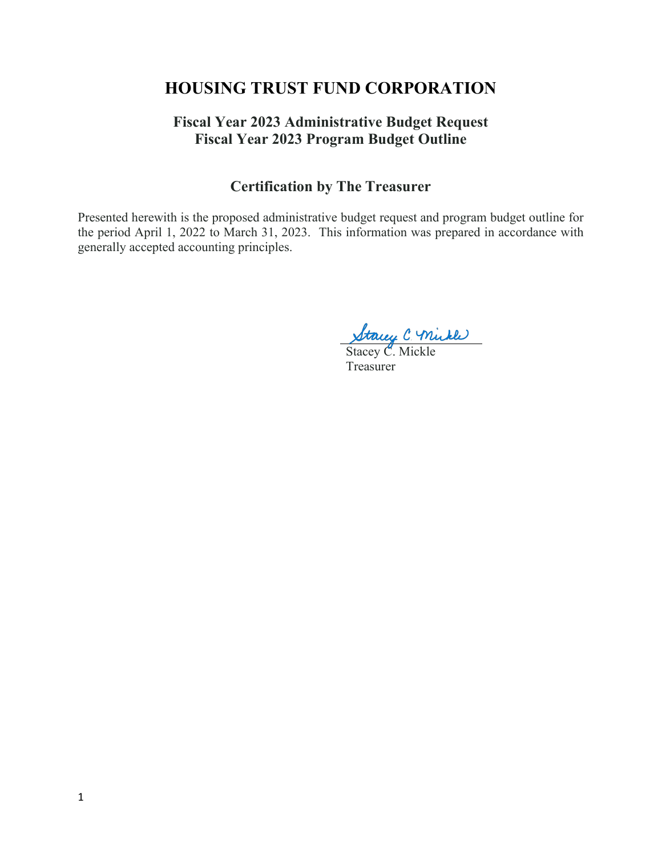### **Fiscal Year 2023 Administrative Budget Request Fiscal Year 2023 Program Budget Outline**

### **Certification by The Treasurer**

Presented herewith is the proposed administrative budget request and program budget outline for the period April 1, 2022 to March 31, 2023. This information was prepared in accordance with generally accepted accounting principles.

Stacey C. Mickle

Treasurer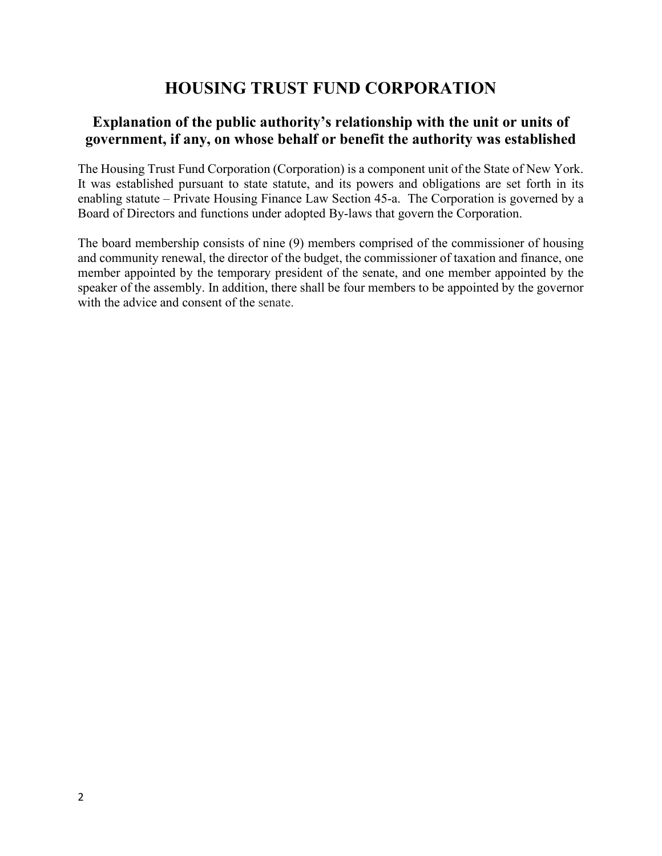### **Explanation of the public authority's relationship with the unit or units of government, if any, on whose behalf or benefit the authority was established**

The Housing Trust Fund Corporation (Corporation) is a component unit of the State of New York. It was established pursuant to state statute, and its powers and obligations are set forth in its enabling statute – Private Housing Finance Law Section 45-a. The Corporation is governed by a Board of Directors and functions under adopted By-laws that govern the Corporation.

The board membership consists of nine (9) members comprised of the commissioner of housing and community renewal, the director of the budget, the commissioner of taxation and finance, one member appointed by the temporary president of the senate, and one member appointed by the speaker of the assembly. In addition, there shall be four members to be appointed by the governor with the advice and consent of the senate.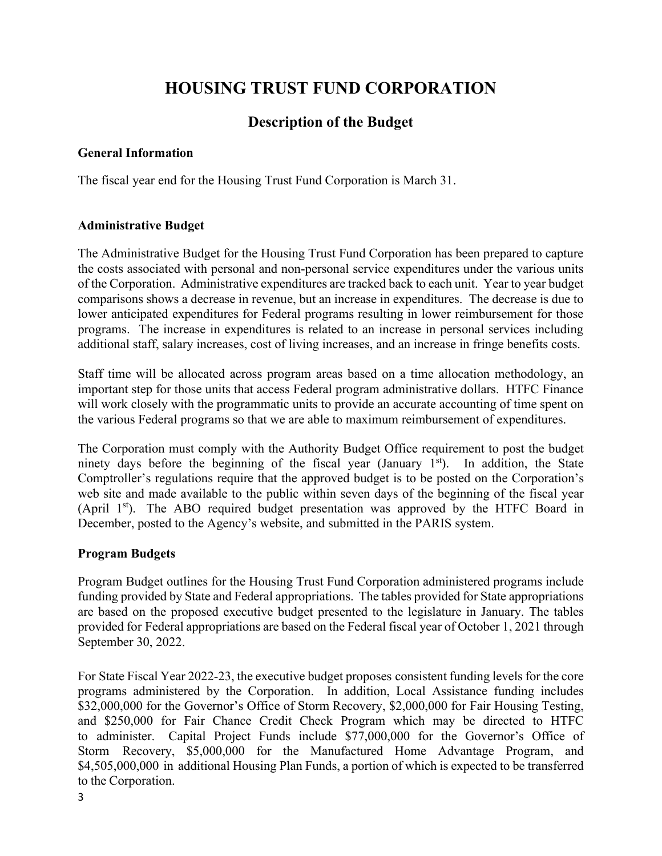## **Description of the Budget**

#### **General Information**

The fiscal year end for the Housing Trust Fund Corporation is March 31.

#### **Administrative Budget**

The Administrative Budget for the Housing Trust Fund Corporation has been prepared to capture the costs associated with personal and non-personal service expenditures under the various units of the Corporation. Administrative expenditures are tracked back to each unit. Year to year budget comparisons shows a decrease in revenue, but an increase in expenditures. The decrease is due to lower anticipated expenditures for Federal programs resulting in lower reimbursement for those programs. The increase in expenditures is related to an increase in personal services including additional staff, salary increases, cost of living increases, and an increase in fringe benefits costs.

Staff time will be allocated across program areas based on a time allocation methodology, an important step for those units that access Federal program administrative dollars. HTFC Finance will work closely with the programmatic units to provide an accurate accounting of time spent on the various Federal programs so that we are able to maximum reimbursement of expenditures.

The Corporation must comply with the Authority Budget Office requirement to post the budget ninety days before the beginning of the fiscal year (January  $1<sup>st</sup>$ ). In addition, the State Comptroller's regulations require that the approved budget is to be posted on the Corporation's web site and made available to the public within seven days of the beginning of the fiscal year (April 1<sup>st</sup>). The ABO required budget presentation was approved by the HTFC Board in December, posted to the Agency's website, and submitted in the PARIS system.

#### **Program Budgets**

Program Budget outlines for the Housing Trust Fund Corporation administered programs include funding provided by State and Federal appropriations. The tables provided for State appropriations are based on the proposed executive budget presented to the legislature in January. The tables provided for Federal appropriations are based on the Federal fiscal year of October 1, 2021 through September 30, 2022.

For State Fiscal Year 2022-23, the executive budget proposes consistent funding levels for the core programs administered by the Corporation. In addition, Local Assistance funding includes \$32,000,000 for the Governor's Office of Storm Recovery, \$2,000,000 for Fair Housing Testing, and \$250,000 for Fair Chance Credit Check Program which may be directed to HTFC to administer. Capital Project Funds include \$77,000,000 for the Governor's Office of Storm Recovery, \$5,000,000 for the Manufactured Home Advantage Program, and \$4,505,000,000 in additional Housing Plan Funds, a portion of which is expected to be transferred to the Corporation.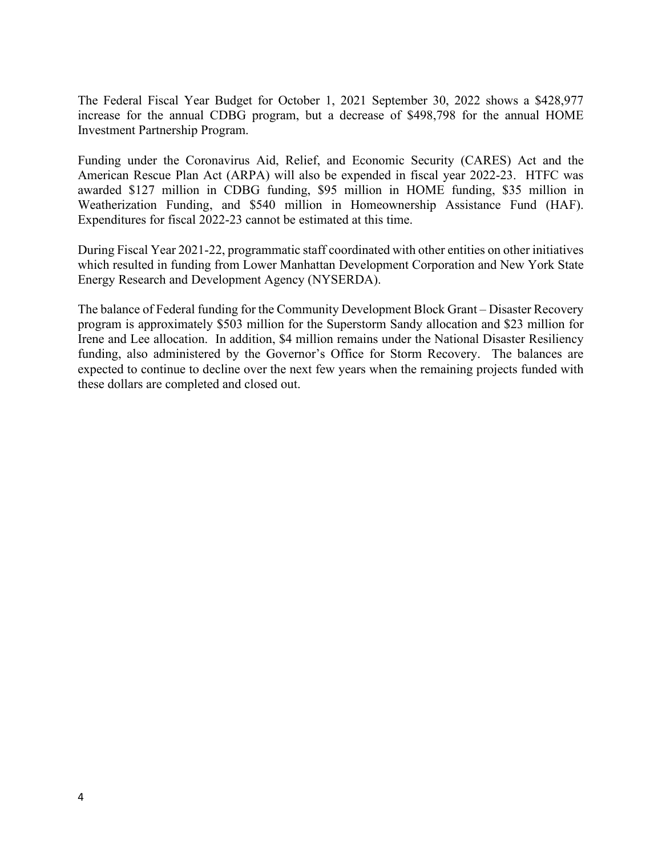The Federal Fiscal Year Budget for October 1, 2021 September 30, 2022 shows a \$428,977 increase for the annual CDBG program, but a decrease of \$498,798 for the annual HOME Investment Partnership Program.

Funding under the Coronavirus Aid, Relief, and Economic Security (CARES) Act and the American Rescue Plan Act (ARPA) will also be expended in fiscal year 2022-23. HTFC was awarded \$127 million in CDBG funding, \$95 million in HOME funding, \$35 million in Weatherization Funding, and \$540 million in Homeownership Assistance Fund (HAF). Expenditures for fiscal 2022-23 cannot be estimated at this time.

During Fiscal Year 2021-22, programmatic staff coordinated with other entities on other initiatives which resulted in funding from Lower Manhattan Development Corporation and New York State Energy Research and Development Agency (NYSERDA).

The balance of Federal funding for the Community Development Block Grant – Disaster Recovery program is approximately \$503 million for the Superstorm Sandy allocation and \$23 million for Irene and Lee allocation. In addition, \$4 million remains under the National Disaster Resiliency funding, also administered by the Governor's Office for Storm Recovery. The balances are expected to continue to decline over the next few years when the remaining projects funded with these dollars are completed and closed out.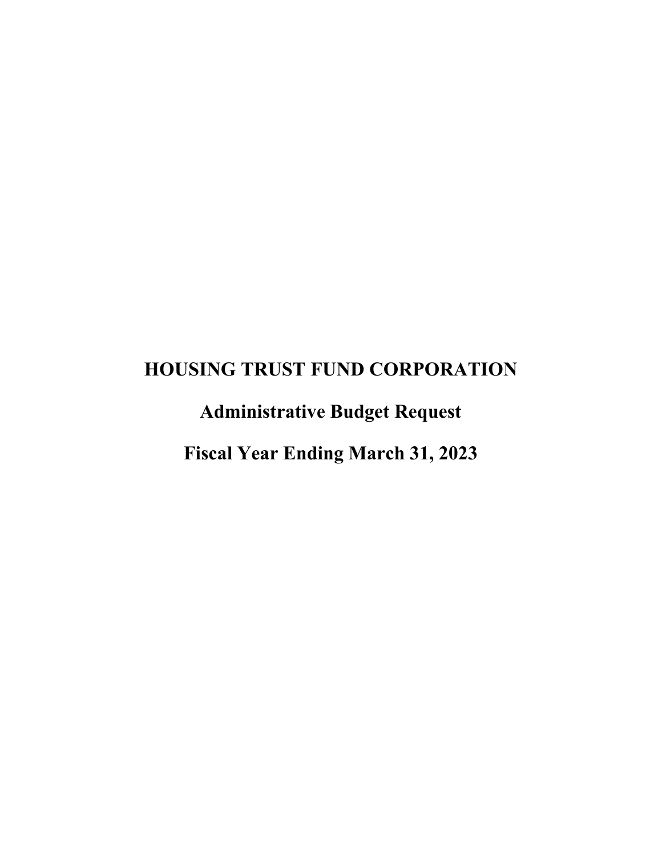**Administrative Budget Request**

**Fiscal Year Ending March 31, 2023**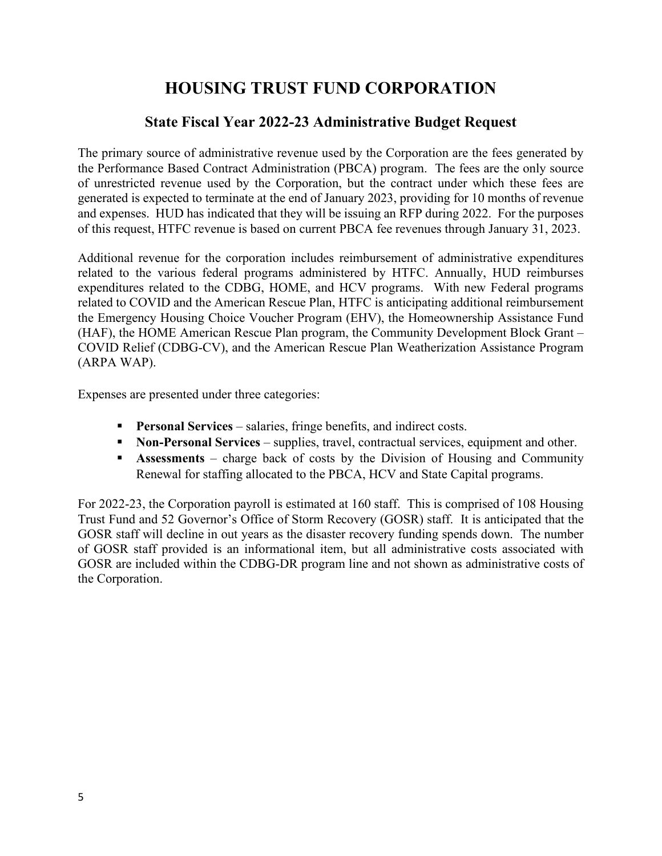### **State Fiscal Year 2022-23 Administrative Budget Request**

The primary source of administrative revenue used by the Corporation are the fees generated by the Performance Based Contract Administration (PBCA) program. The fees are the only source of unrestricted revenue used by the Corporation, but the contract under which these fees are generated is expected to terminate at the end of January 2023, providing for 10 months of revenue and expenses. HUD has indicated that they will be issuing an RFP during 2022. For the purposes of this request, HTFC revenue is based on current PBCA fee revenues through January 31, 2023.

Additional revenue for the corporation includes reimbursement of administrative expenditures related to the various federal programs administered by HTFC. Annually, HUD reimburses expenditures related to the CDBG, HOME, and HCV programs. With new Federal programs related to COVID and the American Rescue Plan, HTFC is anticipating additional reimbursement the Emergency Housing Choice Voucher Program (EHV), the Homeownership Assistance Fund (HAF), the HOME American Rescue Plan program, the Community Development Block Grant – COVID Relief (CDBG-CV), and the American Rescue Plan Weatherization Assistance Program (ARPA WAP).

Expenses are presented under three categories:

- **Personal Services** salaries, fringe benefits, and indirect costs.
- **Non-Personal Services** supplies, travel, contractual services, equipment and other.
- **Assessments** charge back of costs by the Division of Housing and Community Renewal for staffing allocated to the PBCA, HCV and State Capital programs.

For 2022-23, the Corporation payroll is estimated at 160 staff. This is comprised of 108 Housing Trust Fund and 52 Governor's Office of Storm Recovery (GOSR) staff. It is anticipated that the GOSR staff will decline in out years as the disaster recovery funding spends down. The number of GOSR staff provided is an informational item, but all administrative costs associated with GOSR are included within the CDBG-DR program line and not shown as administrative costs of the Corporation.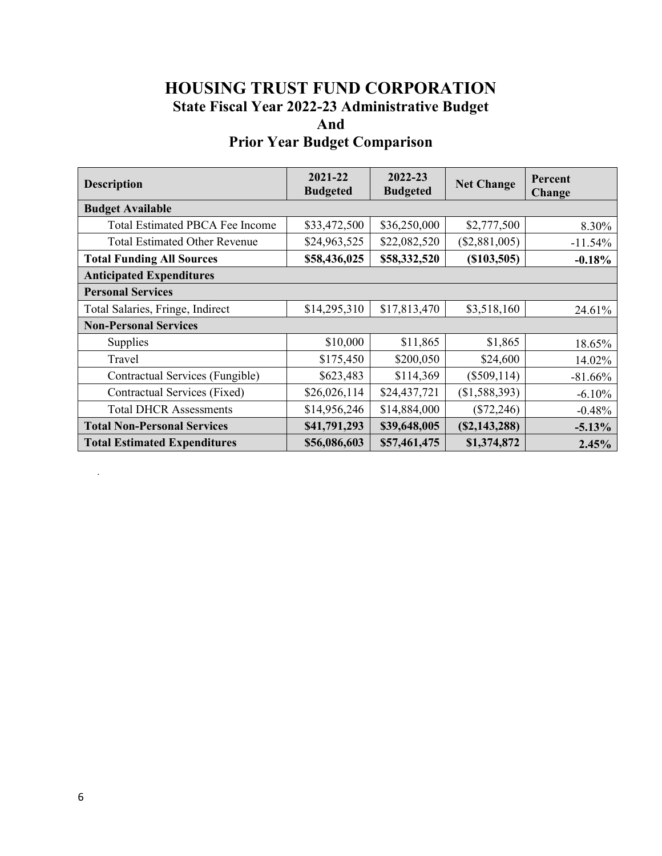## **HOUSING TRUST FUND CORPORATION State Fiscal Year 2022-23 Administrative Budget And**

## **Prior Year Budget Comparison**

| <b>Description</b>                     | 2021-22<br><b>Budgeted</b> | $2022 - 23$<br><b>Budgeted</b> | <b>Net Change</b> | Percent<br><b>Change</b> |
|----------------------------------------|----------------------------|--------------------------------|-------------------|--------------------------|
| <b>Budget Available</b>                |                            |                                |                   |                          |
| <b>Total Estimated PBCA Fee Income</b> | \$33,472,500               | \$36,250,000                   | \$2,777,500       | 8.30%                    |
| <b>Total Estimated Other Revenue</b>   | \$24,963,525               | \$22,082,520                   | (\$2,881,005)     | $-11.54%$                |
| <b>Total Funding All Sources</b>       | \$58,436,025               | \$58,332,520                   | (S103, 505)       | $-0.18%$                 |
| <b>Anticipated Expenditures</b>        |                            |                                |                   |                          |
| <b>Personal Services</b>               |                            |                                |                   |                          |
| Total Salaries, Fringe, Indirect       | \$14,295,310               | \$17,813,470                   | \$3,518,160       | 24.61%                   |
| <b>Non-Personal Services</b>           |                            |                                |                   |                          |
| Supplies                               | \$10,000                   | \$11,865                       | \$1,865           | 18.65%                   |
| Travel                                 | \$175,450                  | \$200,050                      | \$24,600          | 14.02%                   |
| Contractual Services (Fungible)        | \$623,483                  | \$114,369                      | $(\$509,114)$     | $-81.66%$                |
| Contractual Services (Fixed)           | \$26,026,114               | \$24,437,721                   | (\$1,588,393)     | $-6.10%$                 |
| <b>Total DHCR Assessments</b>          | \$14,956,246               | \$14,884,000                   | $(\$72,246)$      | $-0.48%$                 |
| <b>Total Non-Personal Services</b>     | \$41,791,293               | \$39,648,005                   | (S2, 143, 288)    | $-5.13%$                 |
| <b>Total Estimated Expenditures</b>    | \$56,086,603               | \$57,461,475                   | \$1,374,872       | 2.45%                    |

.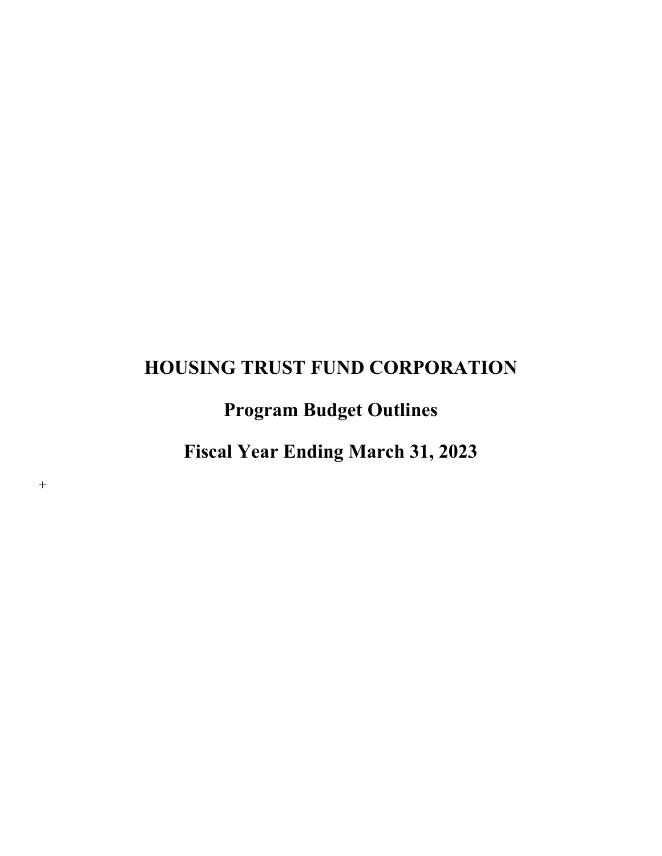# **Program Budget Outlines**

**Fiscal Year Ending March 31, 2023** 

 $^{+}$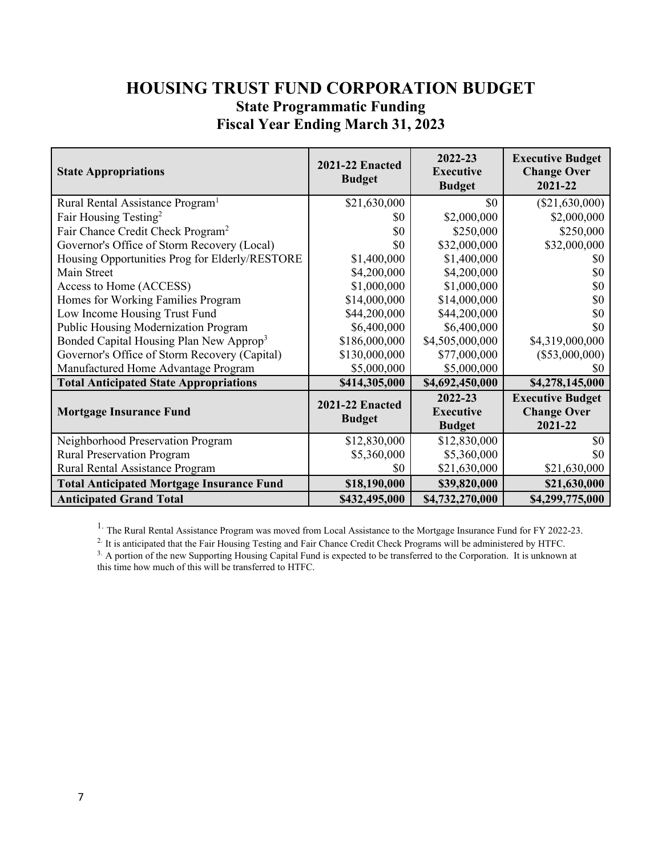## **HOUSING TRUST FUND CORPORATION BUDGET State Programmatic Funding Fiscal Year Ending March 31, 2023**

| <b>State Appropriations</b>                         | <b>2021-22 Enacted</b><br><b>Budget</b> | 2022-23<br><b>Executive</b><br><b>Budget</b> | <b>Executive Budget</b><br><b>Change Over</b><br>2021-22 |
|-----------------------------------------------------|-----------------------------------------|----------------------------------------------|----------------------------------------------------------|
| Rural Rental Assistance Program <sup>1</sup>        | \$21,630,000                            | \$0                                          | $(\$21,630,000)$                                         |
| Fair Housing Testing <sup>2</sup>                   | \$0                                     | \$2,000,000                                  | \$2,000,000                                              |
| Fair Chance Credit Check Program <sup>2</sup>       | \$0                                     | \$250,000                                    | \$250,000                                                |
| Governor's Office of Storm Recovery (Local)         | \$0                                     | \$32,000,000                                 | \$32,000,000                                             |
| Housing Opportunities Prog for Elderly/RESTORE      | \$1,400,000                             | \$1,400,000                                  | SO.                                                      |
| Main Street                                         | \$4,200,000                             | \$4,200,000                                  | \$0                                                      |
| Access to Home (ACCESS)                             | \$1,000,000                             | \$1,000,000                                  | \$0                                                      |
| Homes for Working Families Program                  | \$14,000,000                            | \$14,000,000                                 | \$0                                                      |
| Low Income Housing Trust Fund                       | \$44,200,000                            | \$44,200,000                                 | \$0                                                      |
| Public Housing Modernization Program                | \$6,400,000                             | \$6,400,000                                  | \$0                                                      |
| Bonded Capital Housing Plan New Approp <sup>3</sup> | \$186,000,000                           | \$4,505,000,000                              | \$4,319,000,000                                          |
| Governor's Office of Storm Recovery (Capital)       | \$130,000,000                           | \$77,000,000                                 | $(\$53,000,000)$                                         |
| Manufactured Home Advantage Program                 | \$5,000,000                             | \$5,000,000                                  | \$0                                                      |
| <b>Total Anticipated State Appropriations</b>       | \$414,305,000                           | \$4,692,450,000                              | \$4,278,145,000                                          |
|                                                     | <b>2021-22 Enacted</b>                  | 2022-23                                      | <b>Executive Budget</b>                                  |
| <b>Mortgage Insurance Fund</b>                      | <b>Budget</b>                           | <b>Executive</b>                             | <b>Change Over</b>                                       |
|                                                     |                                         | <b>Budget</b>                                | 2021-22                                                  |
| Neighborhood Preservation Program                   | \$12,830,000                            | \$12,830,000                                 | \$0                                                      |
| <b>Rural Preservation Program</b>                   | \$5,360,000                             | \$5,360,000                                  | \$0                                                      |
| Rural Rental Assistance Program                     | \$0                                     | \$21,630,000                                 | \$21,630,000                                             |
| <b>Total Anticipated Mortgage Insurance Fund</b>    | \$18,190,000                            | \$39,820,000                                 | \$21,630,000                                             |
| <b>Anticipated Grand Total</b>                      | \$432,495,000                           | \$4,732,270,000                              | \$4,299,775,000                                          |

<sup>1.</sup> The Rural Rental Assistance Program was moved from Local Assistance to the Mortgage Insurance Fund for FY 2022-23.<br><sup>2.</sup> It is anticipated that the Fair Housing Testing and Fair Chance Credit Check Programs will be adm

<sup>3.</sup> A portion of the new Supporting Housing Capital Fund is expected to be transferred to the Corporation. It is unknown at this time how much of this will be transferred to HTFC.